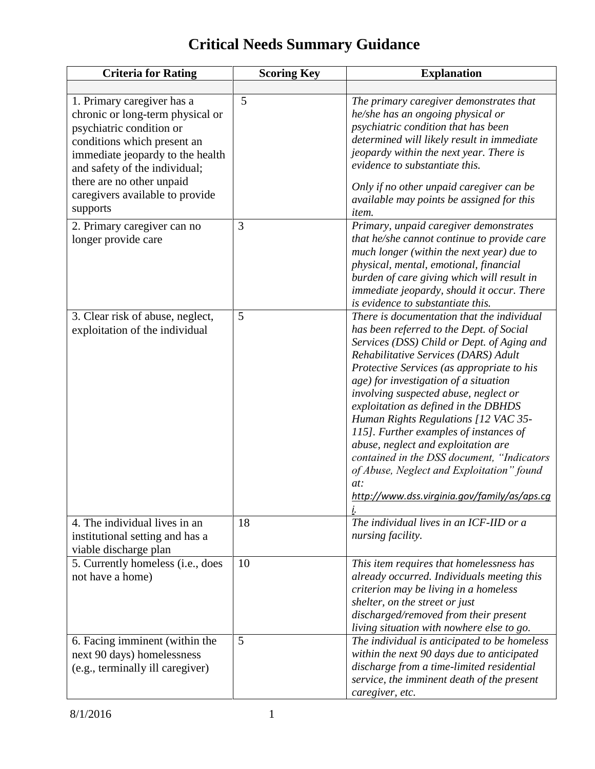## **Critical Needs Summary Guidance**

| <b>Criteria for Rating</b>                                                                                                                                                                                                                                     | <b>Scoring Key</b> | <b>Explanation</b>                                                                                                                                                                                                                                                                                                                                                                                                                                                                                                                                                                                                                    |
|----------------------------------------------------------------------------------------------------------------------------------------------------------------------------------------------------------------------------------------------------------------|--------------------|---------------------------------------------------------------------------------------------------------------------------------------------------------------------------------------------------------------------------------------------------------------------------------------------------------------------------------------------------------------------------------------------------------------------------------------------------------------------------------------------------------------------------------------------------------------------------------------------------------------------------------------|
| 1. Primary caregiver has a<br>chronic or long-term physical or<br>psychiatric condition or<br>conditions which present an<br>immediate jeopardy to the health<br>and safety of the individual;<br>there are no other unpaid<br>caregivers available to provide | 5                  | The primary caregiver demonstrates that<br>he/she has an ongoing physical or<br>psychiatric condition that has been<br>determined will likely result in immediate<br>jeopardy within the next year. There is<br>evidence to substantiate this.<br>Only if no other unpaid caregiver can be                                                                                                                                                                                                                                                                                                                                            |
| supports                                                                                                                                                                                                                                                       |                    | available may points be assigned for this<br><i>item.</i>                                                                                                                                                                                                                                                                                                                                                                                                                                                                                                                                                                             |
| 2. Primary caregiver can no<br>longer provide care                                                                                                                                                                                                             | 3                  | Primary, unpaid caregiver demonstrates<br>that he/she cannot continue to provide care<br>much longer (within the next year) due to<br>physical, mental, emotional, financial<br>burden of care giving which will result in<br>immediate jeopardy, should it occur. There<br>is evidence to substantiate this.                                                                                                                                                                                                                                                                                                                         |
| 3. Clear risk of abuse, neglect,<br>exploitation of the individual                                                                                                                                                                                             | 5                  | There is documentation that the individual<br>has been referred to the Dept. of Social<br>Services (DSS) Child or Dept. of Aging and<br>Rehabilitative Services (DARS) Adult<br>Protective Services (as appropriate to his<br>age) for investigation of a situation<br>involving suspected abuse, neglect or<br>exploitation as defined in the DBHDS<br>Human Rights Regulations [12 VAC 35-<br>115]. Further examples of instances of<br>abuse, neglect and exploitation are<br>contained in the DSS document, "Indicators<br>of Abuse, Neglect and Exploitation" found<br>at:<br>http://www.dss.virginia.gov/family/as/aps.cg<br>i. |
| 4. The individual lives in an<br>institutional setting and has a<br>viable discharge plan                                                                                                                                                                      | 18                 | The individual lives in an ICF-IID or a<br>nursing facility.                                                                                                                                                                                                                                                                                                                                                                                                                                                                                                                                                                          |
| 5. Currently homeless (i.e., does<br>not have a home)                                                                                                                                                                                                          | 10                 | This item requires that homelessness has<br>already occurred. Individuals meeting this<br>criterion may be living in a homeless<br>shelter, on the street or just<br>discharged/removed from their present<br>living situation with nowhere else to go.                                                                                                                                                                                                                                                                                                                                                                               |
| 6. Facing imminent (within the<br>next 90 days) homelessness<br>(e.g., terminally ill caregiver)                                                                                                                                                               | 5                  | The individual is anticipated to be homeless<br>within the next 90 days due to anticipated<br>discharge from a time-limited residential<br>service, the imminent death of the present<br>caregiver, etc.                                                                                                                                                                                                                                                                                                                                                                                                                              |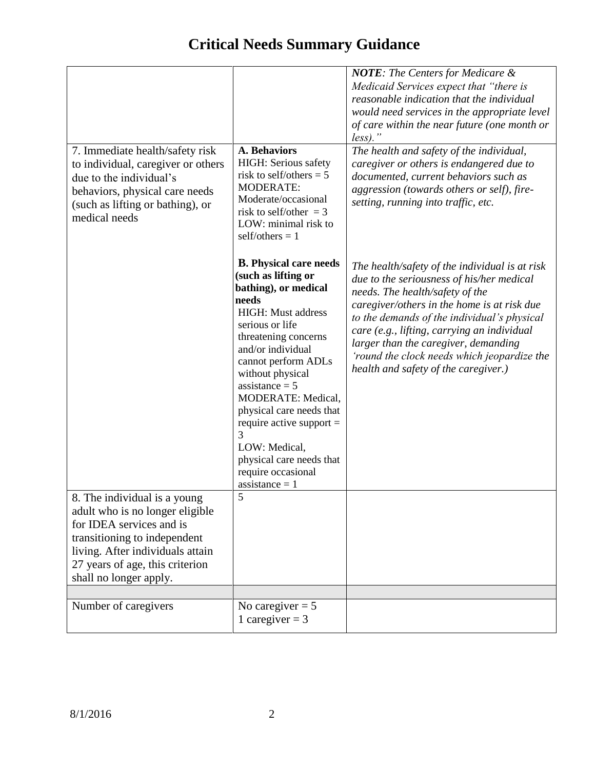|                                                                                                                                                                                         |                                                                                                                                                                                                                                                                                                                                                                                                                        | <b>NOTE:</b> The Centers for Medicare &                                                                                                                                                                                                                                                                                                                                                                    |
|-----------------------------------------------------------------------------------------------------------------------------------------------------------------------------------------|------------------------------------------------------------------------------------------------------------------------------------------------------------------------------------------------------------------------------------------------------------------------------------------------------------------------------------------------------------------------------------------------------------------------|------------------------------------------------------------------------------------------------------------------------------------------------------------------------------------------------------------------------------------------------------------------------------------------------------------------------------------------------------------------------------------------------------------|
|                                                                                                                                                                                         |                                                                                                                                                                                                                                                                                                                                                                                                                        | Medicaid Services expect that "there is                                                                                                                                                                                                                                                                                                                                                                    |
|                                                                                                                                                                                         |                                                                                                                                                                                                                                                                                                                                                                                                                        | reasonable indication that the individual                                                                                                                                                                                                                                                                                                                                                                  |
|                                                                                                                                                                                         |                                                                                                                                                                                                                                                                                                                                                                                                                        | would need services in the appropriate level<br>of care within the near future (one month or                                                                                                                                                                                                                                                                                                               |
|                                                                                                                                                                                         |                                                                                                                                                                                                                                                                                                                                                                                                                        | $less)$ ."                                                                                                                                                                                                                                                                                                                                                                                                 |
| 7. Immediate health/safety risk<br>to individual, caregiver or others<br>due to the individual's<br>behaviors, physical care needs<br>(such as lifting or bathing), or<br>medical needs | <b>A. Behaviors</b><br>HIGH: Serious safety<br>risk to self/others = $5$<br><b>MODERATE:</b><br>Moderate/occasional<br>risk to self/other $=$ 3<br>LOW: minimal risk to<br>self/others $= 1$                                                                                                                                                                                                                           | The health and safety of the individual,<br>caregiver or others is endangered due to<br>documented, current behaviors such as<br>aggression (towards others or self), fire-                                                                                                                                                                                                                                |
|                                                                                                                                                                                         |                                                                                                                                                                                                                                                                                                                                                                                                                        | setting, running into traffic, etc.                                                                                                                                                                                                                                                                                                                                                                        |
|                                                                                                                                                                                         | <b>B.</b> Physical care needs<br>(such as lifting or<br>bathing), or medical<br>needs<br>HIGH: Must address<br>serious or life<br>threatening concerns<br>and/or individual<br>cannot perform ADLs<br>without physical<br>$assistance = 5$<br>MODERATE: Medical,<br>physical care needs that<br>require active support $=$<br>3<br>LOW: Medical,<br>physical care needs that<br>require occasional<br>$assistance = 1$ | The health/safety of the individual is at risk<br>due to the seriousness of his/her medical<br>needs. The health/safety of the<br>caregiver/others in the home is at risk due<br>to the demands of the individual's physical<br>care (e.g., lifting, carrying an individual<br>larger than the caregiver, demanding<br>'round the clock needs which jeopardize the<br>health and safety of the caregiver.) |
| 8. The individual is a young<br>adult who is no longer eligible<br>for IDEA services and is<br>transitioning to independent<br>living. After individuals attain                         | 5                                                                                                                                                                                                                                                                                                                                                                                                                      |                                                                                                                                                                                                                                                                                                                                                                                                            |
| 27 years of age, this criterion<br>shall no longer apply.                                                                                                                               |                                                                                                                                                                                                                                                                                                                                                                                                                        |                                                                                                                                                                                                                                                                                                                                                                                                            |
|                                                                                                                                                                                         |                                                                                                                                                                                                                                                                                                                                                                                                                        |                                                                                                                                                                                                                                                                                                                                                                                                            |
| Number of caregivers                                                                                                                                                                    | No caregiver = $\overline{5}$<br>1 caregiver = $3$                                                                                                                                                                                                                                                                                                                                                                     |                                                                                                                                                                                                                                                                                                                                                                                                            |